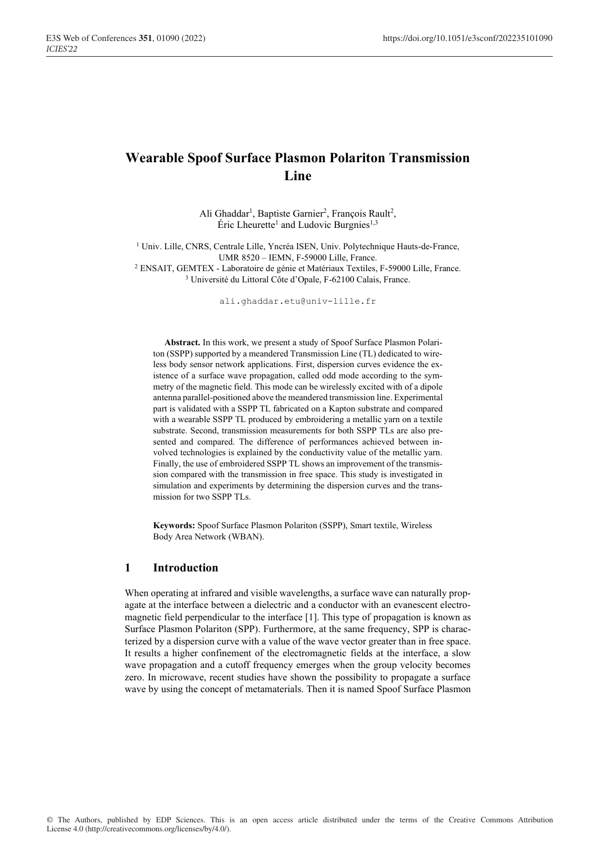# **Wearable Spoof Surface Plasmon Polariton Transmission Line**

Ali Ghaddar<sup>1</sup>, Baptiste Garnier<sup>2</sup>, François Rault<sup>2</sup>, Éric Lheurette<sup>1</sup> and Ludovic Burgnies<sup>1,3</sup>

<sup>1</sup> Univ. Lille, CNRS, Centrale Lille, Yncréa ISEN, Univ. Polytechnique Hauts-de-France, UMR 8520 – IEMN, F-59000 Lille, France. <sup>2</sup> ENSAIT, GEMTEX - Laboratoire de génie et Matériaux Textiles, F-59000 Lille, France.

<sup>3</sup> Université du Littoral Côte d'Opale, F-62100 Calais, France.

ali.ghaddar.etu@univ-lille.fr

**Abstract.** In this work, we present a study of Spoof Surface Plasmon Polariton (SSPP) supported by a meandered Transmission Line (TL) dedicated to wireless body sensor network applications. First, dispersion curves evidence the existence of a surface wave propagation, called odd mode according to the symmetry of the magnetic field. This mode can be wirelessly excited with of a dipole antenna parallel-positioned above the meandered transmission line. Experimental part is validated with a SSPP TL fabricated on a Kapton substrate and compared with a wearable SSPP TL produced by embroidering a metallic yarn on a textile substrate. Second, transmission measurements for both SSPP TLs are also presented and compared. The difference of performances achieved between involved technologies is explained by the conductivity value of the metallic yarn. Finally, the use of embroidered SSPP TL shows an improvement of the transmission compared with the transmission in free space. This study is investigated in simulation and experiments by determining the dispersion curves and the transmission for two SSPP TLs.

**Keywords:** Spoof Surface Plasmon Polariton (SSPP), Smart textile, Wireless Body Area Network (WBAN).

### **1 Introduction**

When operating at infrared and visible wavelengths, a surface wave can naturally propagate at the interface between a dielectric and a conductor with an evanescent electromagnetic field perpendicular to the interface [1]. This type of propagation is known as Surface Plasmon Polariton (SPP). Furthermore, at the same frequency, SPP is characterized by a dispersion curve with a value of the wave vector greater than in free space. It results a higher confinement of the electromagnetic fields at the interface, a slow wave propagation and a cutoff frequency emerges when the group velocity becomes zero. In microwave, recent studies have shown the possibility to propagate a surface wave by using the concept of metamaterials. Then it is named Spoof Surface Plasmon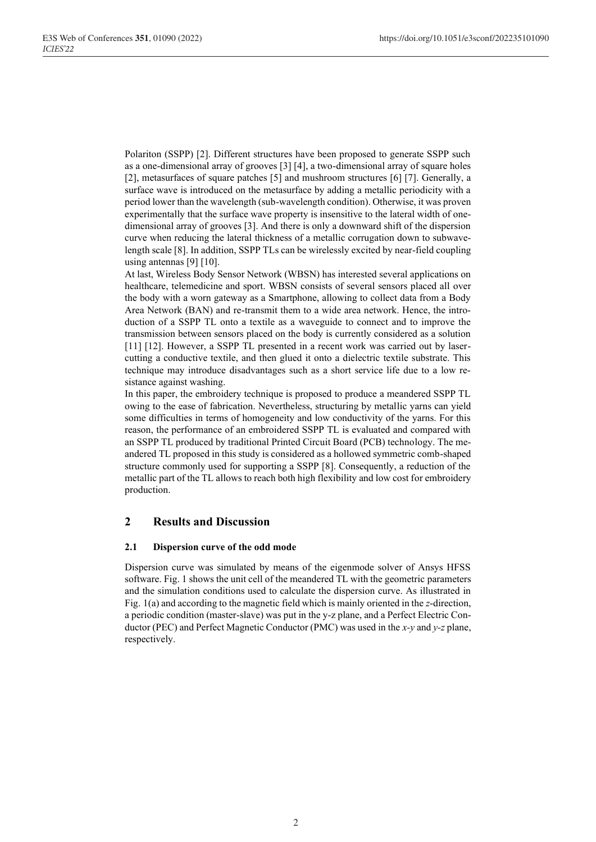Polariton (SSPP) [2]. Different structures have been proposed to generate SSPP such as a one-dimensional array of grooves [3] [4], a two-dimensional array of square holes [2], metasurfaces of square patches [5] and mushroom structures [6] [7]. Generally, a surface wave is introduced on the metasurface by adding a metallic periodicity with a period lower than the wavelength (sub-wavelength condition). Otherwise, it was proven experimentally that the surface wave property is insensitive to the lateral width of onedimensional array of grooves [3]. And there is only a downward shift of the dispersion curve when reducing the lateral thickness of a metallic corrugation down to subwavelength scale [8]. In addition, SSPP TLs can be wirelessly excited by near-field coupling using antennas [9] [10].

At last, Wireless Body Sensor Network (WBSN) has interested several applications on healthcare, telemedicine and sport. WBSN consists of several sensors placed all over the body with a worn gateway as a Smartphone, allowing to collect data from a Body Area Network (BAN) and re-transmit them to a wide area network. Hence, the introduction of a SSPP TL onto a textile as a waveguide to connect and to improve the transmission between sensors placed on the body is currently considered as a solution [11] [12]. However, a SSPP TL presented in a recent work was carried out by lasercutting a conductive textile, and then glued it onto a dielectric textile substrate. This technique may introduce disadvantages such as a short service life due to a low resistance against washing.

In this paper, the embroidery technique is proposed to produce a meandered SSPP TL owing to the ease of fabrication. Nevertheless, structuring by metallic yarns can yield some difficulties in terms of homogeneity and low conductivity of the yarns. For this reason, the performance of an embroidered SSPP TL is evaluated and compared with an SSPP TL produced by traditional Printed Circuit Board (PCB) technology. The meandered TL proposed in this study is considered as a hollowed symmetric comb-shaped structure commonly used for supporting a SSPP [8]. Consequently, a reduction of the metallic part of the TL allows to reach both high flexibility and low cost for embroidery production.

## **2 Results and Discussion**

#### **2.1 Dispersion curve of the odd mode**

Dispersion curve was simulated by means of the eigenmode solver of Ansys HFSS software. Fig. 1 shows the unit cell of the meandered TL with the geometric parameters and the simulation conditions used to calculate the dispersion curve. As illustrated in Fig. 1(a) and according to the magnetic field which is mainly oriented in the *z*-direction, a periodic condition (master-slave) was put in the y-z plane, and a Perfect Electric Conductor (PEC) and Perfect Magnetic Conductor (PMC) was used in the *x-y* and *y-z* plane, respectively.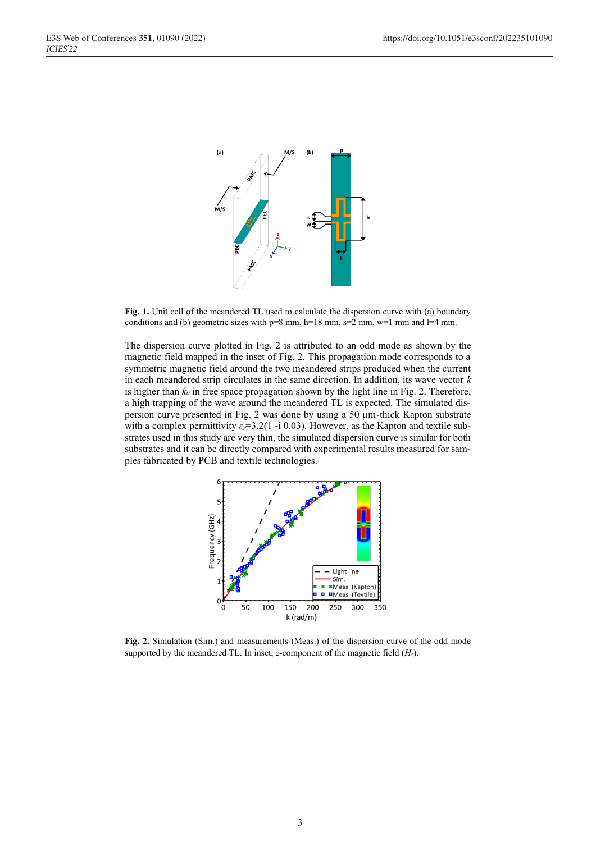

**Fig. 1.** Unit cell of the meandered TL used to calculate the dispersion curve with (a) boundary conditions and (b) geometric sizes with  $p=8$  mm,  $h=18$  mm,  $s=2$  mm,  $w=1$  mm and  $l=4$  mm.

The dispersion curve plotted in Fig. 2 is attributed to an odd mode as shown by the magnetic field mapped in the inset of Fig. 2. This propagation mode corresponds to a symmetric magnetic field around the two meandered strips produced when the current in each meandered strip circulates in the same direction. In addition, its wave vector *k* is higher than  $k_0$  in free space propagation shown by the light line in Fig. 2. Therefore, a high trapping of the wave around the meandered TL is expected. The simulated dispersion curve presented in Fig. 2 was done by using a 50 µm-thick Kapton substrate with a complex permittivity  $\varepsilon_r = 3.2(1 - i 0.03)$ . However, as the Kapton and textile substrates used in this study are very thin, the simulated dispersion curve is similar for both substrates and it can be directly compared with experimental results measured for samples fabricated by PCB and textile technologies.



**Fig. 2.** Simulation (Sim.) and measurements (Meas.) of the dispersion curve of the odd mode supported by the meandered TL. In inset, *z*-component of the magnetic field (*Hz*).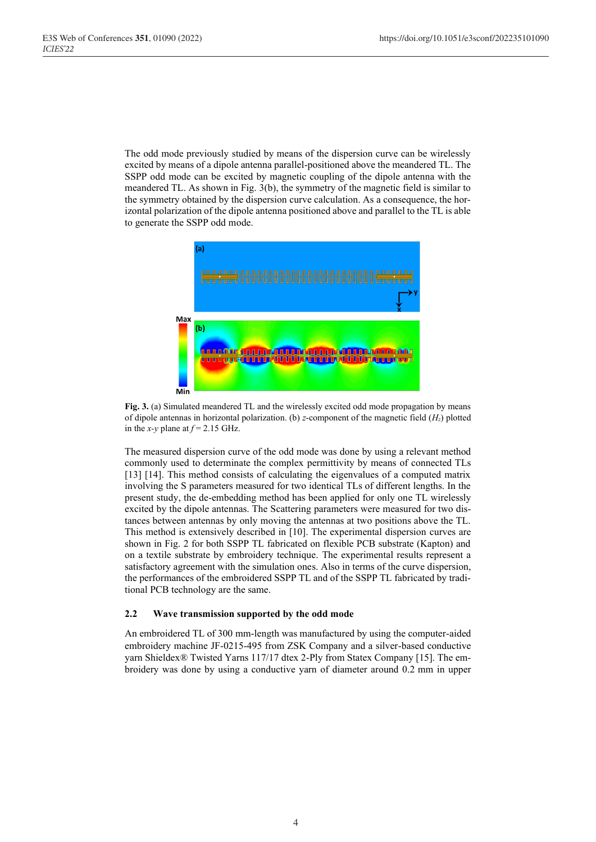The odd mode previously studied by means of the dispersion curve can be wirelessly excited by means of a dipole antenna parallel-positioned above the meandered TL. The SSPP odd mode can be excited by magnetic coupling of the dipole antenna with the meandered TL. As shown in Fig. 3(b), the symmetry of the magnetic field is similar to the symmetry obtained by the dispersion curve calculation. As a consequence, the horizontal polarization of the dipole antenna positioned above and parallel to the TL is able to generate the SSPP odd mode.



**Fig. 3.** (a) Simulated meandered TL and the wirelessly excited odd mode propagation by means of dipole antennas in horizontal polarization. (b) *z*-component of the magnetic field (*Hz*) plotted in the *x*-*y* plane at  $f = 2.15$  GHz.

The measured dispersion curve of the odd mode was done by using a relevant method commonly used to determinate the complex permittivity by means of connected TLs [13] [14]. This method consists of calculating the eigenvalues of a computed matrix involving the S parameters measured for two identical TLs of different lengths. In the present study, the de-embedding method has been applied for only one TL wirelessly excited by the dipole antennas. The Scattering parameters were measured for two distances between antennas by only moving the antennas at two positions above the TL. This method is extensively described in [10]. The experimental dispersion curves are shown in Fig. 2 for both SSPP TL fabricated on flexible PCB substrate (Kapton) and on a textile substrate by embroidery technique. The experimental results represent a satisfactory agreement with the simulation ones. Also in terms of the curve dispersion, the performances of the embroidered SSPP TL and of the SSPP TL fabricated by traditional PCB technology are the same.

#### **2.2 Wave transmission supported by the odd mode**

An embroidered TL of 300 mm-length was manufactured by using the computer-aided embroidery machine JF-0215-495 from ZSK Company and a silver-based conductive yarn Shieldex® Twisted Yarns 117/17 dtex 2-Ply from Statex Company [15]. The embroidery was done by using a conductive yarn of diameter around 0.2 mm in upper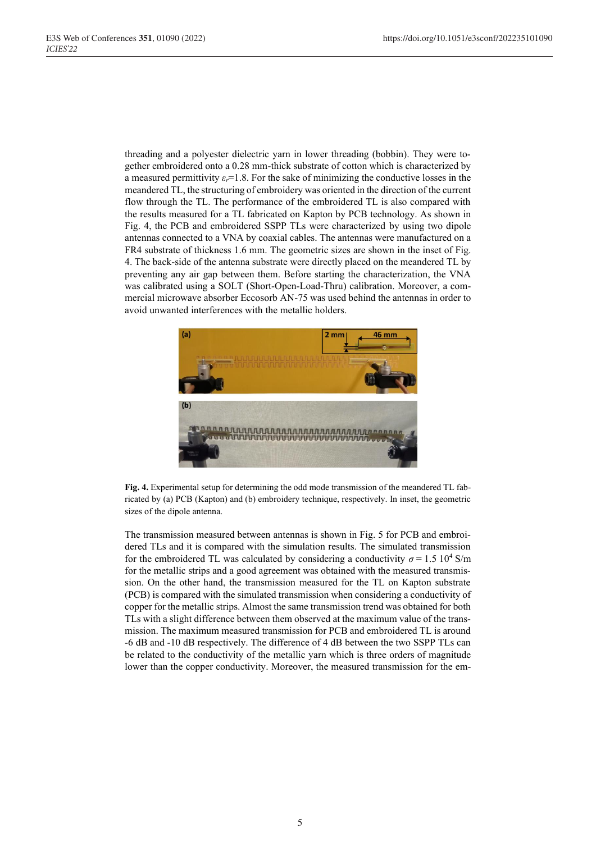threading and a polyester dielectric yarn in lower threading (bobbin). They were together embroidered onto a 0.28 mm-thick substrate of cotton which is characterized by a measured permittivity  $\varepsilon_r = 1.8$ . For the sake of minimizing the conductive losses in the meandered TL, the structuring of embroidery was oriented in the direction of the current flow through the TL. The performance of the embroidered TL is also compared with the results measured for a TL fabricated on Kapton by PCB technology. As shown in Fig. 4, the PCB and embroidered SSPP TLs were characterized by using two dipole antennas connected to a VNA by coaxial cables. The antennas were manufactured on a FR4 substrate of thickness 1.6 mm. The geometric sizes are shown in the inset of Fig. 4. The back-side of the antenna substrate were directly placed on the meandered TL by preventing any air gap between them. Before starting the characterization, the VNA was calibrated using a SOLT (Short-Open-Load-Thru) calibration. Moreover, a commercial microwave absorber Eccosorb AN-75 was used behind the antennas in order to avoid unwanted interferences with the metallic holders.



**Fig. 4.** Experimental setup for determining the odd mode transmission of the meandered TL fabricated by (a) PCB (Kapton) and (b) embroidery technique, respectively. In inset, the geometric sizes of the dipole antenna.

The transmission measured between antennas is shown in Fig. 5 for PCB and embroidered TLs and it is compared with the simulation results. The simulated transmission for the embroidered TL was calculated by considering a conductivity  $\sigma$  = 1.5 10<sup>4</sup> S/m for the metallic strips and a good agreement was obtained with the measured transmission. On the other hand, the transmission measured for the TL on Kapton substrate (PCB) is compared with the simulated transmission when considering a conductivity of copper for the metallic strips. Almost the same transmission trend was obtained for both TLs with a slight difference between them observed at the maximum value of the transmission. The maximum measured transmission for PCB and embroidered TL is around -6 dB and -10 dB respectively. The difference of 4 dB between the two SSPP TLs can be related to the conductivity of the metallic yarn which is three orders of magnitude lower than the copper conductivity. Moreover, the measured transmission for the em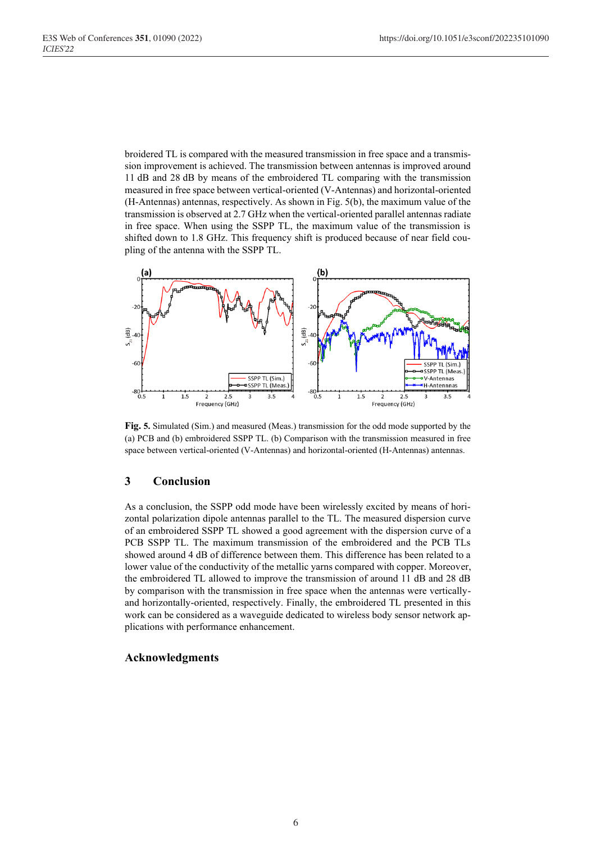broidered TL is compared with the measured transmission in free space and a transmission improvement is achieved. The transmission between antennas is improved around 11 dB and 28 dB by means of the embroidered TL comparing with the transmission measured in free space between vertical-oriented (V-Antennas) and horizontal-oriented (H-Antennas) antennas, respectively. As shown in Fig. 5(b), the maximum value of the transmission is observed at 2.7 GHz when the vertical-oriented parallel antennas radiate in free space. When using the SSPP TL, the maximum value of the transmission is shifted down to 1.8 GHz. This frequency shift is produced because of near field coupling of the antenna with the SSPP TL.



**Fig. 5.** Simulated (Sim.) and measured (Meas.) transmission for the odd mode supported by the (a) PCB and (b) embroidered SSPP TL. (b) Comparison with the transmission measured in free space between vertical-oriented (V-Antennas) and horizontal-oriented (H-Antennas) antennas.

### **3 Conclusion**

As a conclusion, the SSPP odd mode have been wirelessly excited by means of horizontal polarization dipole antennas parallel to the TL. The measured dispersion curve of an embroidered SSPP TL showed a good agreement with the dispersion curve of a PCB SSPP TL. The maximum transmission of the embroidered and the PCB TLs showed around 4 dB of difference between them. This difference has been related to a lower value of the conductivity of the metallic yarns compared with copper. Moreover, the embroidered TL allowed to improve the transmission of around 11 dB and 28 dB by comparison with the transmission in free space when the antennas were verticallyand horizontally-oriented, respectively. Finally, the embroidered TL presented in this work can be considered as a waveguide dedicated to wireless body sensor network applications with performance enhancement.

### **Acknowledgments**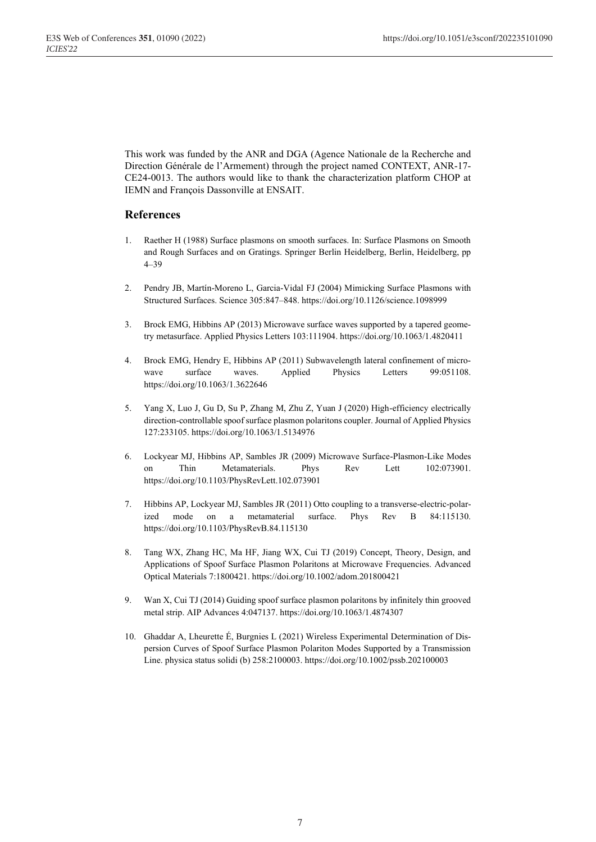This work was funded by the ANR and DGA (Agence Nationale de la Recherche and Direction Générale de l'Armement) through the project named CONTEXT, ANR-17- CE24-0013. The authors would like to thank the characterization platform CHOP at IEMN and François Dassonville at ENSAIT.

## **References**

- 1. Raether H (1988) Surface plasmons on smooth surfaces. In: Surface Plasmons on Smooth and Rough Surfaces and on Gratings. Springer Berlin Heidelberg, Berlin, Heidelberg, pp 4–39
- 2. Pendry JB, Martín-Moreno L, Garcia-Vidal FJ (2004) Mimicking Surface Plasmons with Structured Surfaces. Science 305:847–848. https://doi.org/10.1126/science.1098999
- 3. Brock EMG, Hibbins AP (2013) Microwave surface waves supported by a tapered geometry metasurface. Applied Physics Letters 103:111904. https://doi.org/10.1063/1.4820411
- 4. Brock EMG, Hendry E, Hibbins AP (2011) Subwavelength lateral confinement of microwave surface waves. Applied Physics Letters 99:051108. https://doi.org/10.1063/1.3622646
- 5. Yang X, Luo J, Gu D, Su P, Zhang M, Zhu Z, Yuan J (2020) High-efficiency electrically direction-controllable spoof surface plasmon polaritons coupler. Journal of Applied Physics 127:233105. https://doi.org/10.1063/1.5134976
- 6. Lockyear MJ, Hibbins AP, Sambles JR (2009) Microwave Surface-Plasmon-Like Modes on Thin Metamaterials. Phys Rev Lett 102:073901. https://doi.org/10.1103/PhysRevLett.102.073901
- 7. Hibbins AP, Lockyear MJ, Sambles JR (2011) Otto coupling to a transverse-electric-polarized mode on a metamaterial surface. Phys Rev B 84:115130. https://doi.org/10.1103/PhysRevB.84.115130
- 8. Tang WX, Zhang HC, Ma HF, Jiang WX, Cui TJ (2019) Concept, Theory, Design, and Applications of Spoof Surface Plasmon Polaritons at Microwave Frequencies. Advanced Optical Materials 7:1800421. https://doi.org/10.1002/adom.201800421
- 9. Wan X, Cui TJ (2014) Guiding spoof surface plasmon polaritons by infinitely thin grooved metal strip. AIP Advances 4:047137. https://doi.org/10.1063/1.4874307
- 10. Ghaddar A, Lheurette É, Burgnies L (2021) Wireless Experimental Determination of Dispersion Curves of Spoof Surface Plasmon Polariton Modes Supported by a Transmission Line. physica status solidi (b) 258:2100003. https://doi.org/10.1002/pssb.202100003